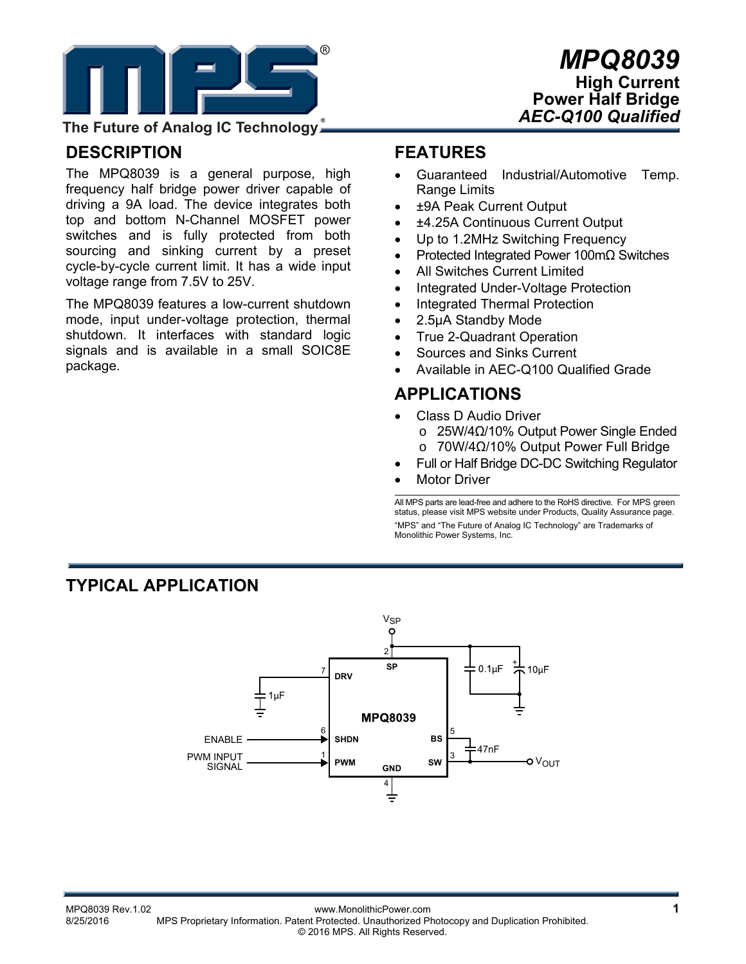

#### **The Future of Analog IC Technology**

#### **DESCRIPTION**

The MPQ8039 is a general purpose, high frequency half bridge power driver capable of driving a 9A load. The device integrates both top and bottom N-Channel MOSFET power switches and is fully protected from both sourcing and sinking current by a preset cycle-by-cycle current limit. It has a wide input voltage range from 7.5V to 25V.

The MPQ8039 features a low-current shutdown mode, input under-voltage protection, thermal shutdown. It interfaces with standard logic signals and is available in a small SOIC8E package.

#### **FEATURES**

- Guaranteed Industrial/Automotive Temp. Range Limits
- ±9A Peak Current Output
- ±4.25A Continuous Current Output
- Up to 1.2MHz Switching Frequency
- Protected Integrated Power 100mΩ Switches
- All Switches Current Limited
- Integrated Under-Voltage Protection
- Integrated Thermal Protection
- 2.5μA Standby Mode
- True 2-Quadrant Operation
- Sources and Sinks Current
- Available in AEC-Q100 Qualified Grade

#### **APPLICATIONS**

- Class D Audio Driver o 25W/4Ω/10% Output Power Single Ended o 70W/4Ω/10% Output Power Full Bridge
- Full or Half Bridge DC-DC Switching Regulator
- Motor Driver

All MPS parts are lead-free and adhere to the RoHS directive. For MPS green status, please visit MPS website under Products, Quality Assurance page. "MPS" and "The Future of Analog IC Technology" are Trademarks of Monolithic Power Systems, Inc.

#### **TYPICAL APPLICATION**

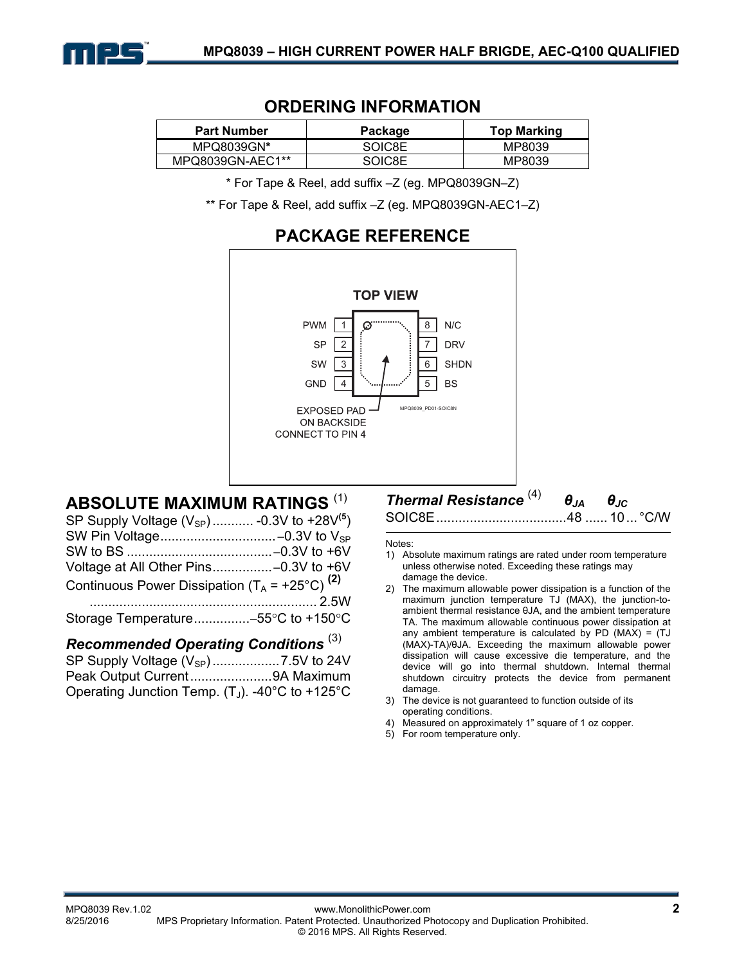

# **ORDERING INFORMATION**

| <b>Part Number</b> | Package | <b>Top Marking</b> |
|--------------------|---------|--------------------|
| MPQ8039GN*         | SOIC8E  | MP8039             |
| MPQ8039GN-AEC1**   | SOICRE  | MP8039             |

\* For Tape & Reel, add suffix –Z (eg. MPQ8039GN–Z)

\*\* For Tape & Reel, add suffix –Z (eg. MPQ8039GN-AEC1–Z)

# **PACKAGE REFERENCE**



#### **ABSOLUTE MAXIMUM RATINGS** (1)

| SP Supply Voltage $(V_{SP})$ -0.3V to +28V <sup>(5</sup> ) |  |
|------------------------------------------------------------|--|
|                                                            |  |
|                                                            |  |
|                                                            |  |
| Continuous Power Dissipation $(T_A = +25^{\circ}C)^{(2)}$  |  |
|                                                            |  |
|                                                            |  |

#### *Recommended Operating Conditions* (3)

| Operating Junction Temp. $(T_J)$ . -40°C to +125°C |  |
|----------------------------------------------------|--|

# *Thermal Resistance* (4) *θJA θJC*

SOIC8E ................................... 48 ...... 10 ... °C/W

- Notes: 1) Absolute maximum ratings are rated under room temperature unless otherwise noted. Exceeding these ratings may damage the device.
- 2) The maximum allowable power dissipation is a function of the maximum junction temperature TJ (MAX), the junction-toambient thermal resistance θJA, and the ambient temperature TA. The maximum allowable continuous power dissipation at any ambient temperature is calculated by PD  $(MAX) = (TJ)$ (MAX)-TA)/θJA. Exceeding the maximum allowable power dissipation will cause excessive die temperature, and the device will go into thermal shutdown. Internal thermal shutdown circuitry protects the device from permanent damage.
- 3) The device is not guaranteed to function outside of its operating conditions.
- 4) Measured on approximately 1" square of 1 oz copper.
- 5) For room temperature only.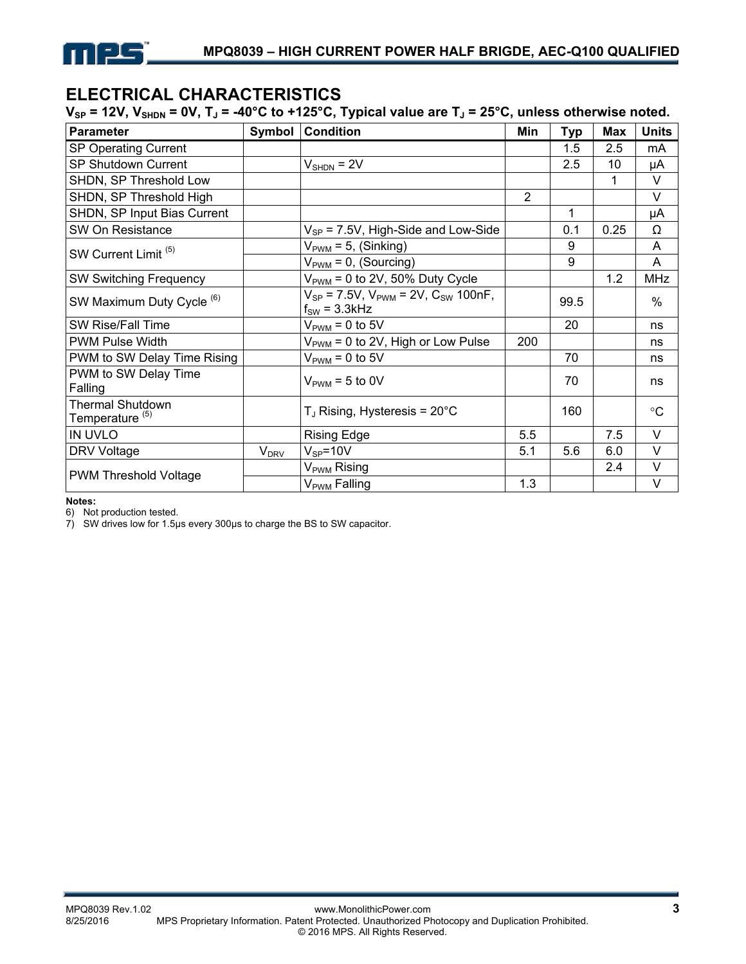

# **ELECTRICAL CHARACTERISTICS**

V<sub>SP</sub> = 12V, V<sub>SHDN</sub> = 0V, T<sub>J</sub> = -40°C to +125°C, Typical value are T<sub>J</sub> = 25°C, unless otherwise noted.

| <b>Parameter</b>                                      | Symbol                 | <b>Condition</b>                                                       | Min            | <b>Typ</b> | <b>Max</b> | <b>Units</b>    |
|-------------------------------------------------------|------------------------|------------------------------------------------------------------------|----------------|------------|------------|-----------------|
| SP Operating Current                                  |                        |                                                                        |                | 1.5        | 2.5        | mA              |
| SP Shutdown Current                                   |                        | $VSHDN = 2V$                                                           |                | 2.5        | 10         | μA              |
| SHDN, SP Threshold Low                                |                        |                                                                        |                |            | 1          | V               |
| SHDN, SP Threshold High                               |                        |                                                                        | $\overline{2}$ |            |            | V               |
| SHDN, SP Input Bias Current                           |                        |                                                                        |                | 1          |            | μA              |
| SW On Resistance                                      |                        | $V_{SP}$ = 7.5V, High-Side and Low-Side                                |                | 0.1        | 0.25       | Ω               |
| SW Current Limit <sup>(5)</sup>                       |                        | $V_{\text{PWM}}$ = 5, (Sinking)                                        |                | 9          |            | Α               |
|                                                       |                        | $V_{\text{PWM}} = 0$ , (Sourcing)                                      |                | 9          |            | A               |
| <b>SW Switching Frequency</b>                         |                        | $V_{\text{PWM}}$ = 0 to 2V, 50% Duty Cycle                             |                |            | 1.2        | <b>MHz</b>      |
| SW Maximum Duty Cycle <sup>(6)</sup>                  |                        | $V_{SP}$ = 7.5V, $V_{PWM}$ = 2V, $C_{SW}$ 100nF,<br>$f_{SW} = 3.3$ kHz |                | 99.5       |            | $\%$            |
| SW Rise/Fall Time                                     |                        | $V_{\text{PWM}} = 0$ to 5V                                             |                | 20         |            | ns              |
| <b>PWM Pulse Width</b>                                |                        | $V_{\text{PWM}} = 0$ to 2V, High or Low Pulse                          | 200            |            |            | ns              |
| PWM to SW Delay Time Rising                           |                        | $VPWM = 0$ to 5V                                                       |                | 70         |            | ns              |
| PWM to SW Delay Time<br>Falling                       |                        | $V_{\text{PWM}}$ = 5 to 0V                                             |                | 70         |            | ns              |
| <b>Thermal Shutdown</b><br>Temperature <sup>(5)</sup> |                        | $T_J$ Rising, Hysteresis = 20 $^{\circ}$ C                             |                | 160        |            | $\rm ^{\circ}C$ |
| IN UVLO                                               |                        | <b>Rising Edge</b>                                                     | 5.5            |            | 7.5        | V               |
| DRV Voltage                                           | <b>V<sub>DRV</sub></b> | $V_{SP} = 10V$                                                         | 5.1            | 5.6        | 6.0        | V               |
| <b>PWM Threshold Voltage</b>                          |                        | V <sub>PWM</sub> Rising                                                |                |            | 2.4        | V               |
|                                                       |                        | V <sub>PWM</sub> Falling                                               | 1.3            |            |            | V               |

**Notes:** 

6) Not production tested.

7) SW drives low for 1.5μs every 300μs to charge the BS to SW capacitor.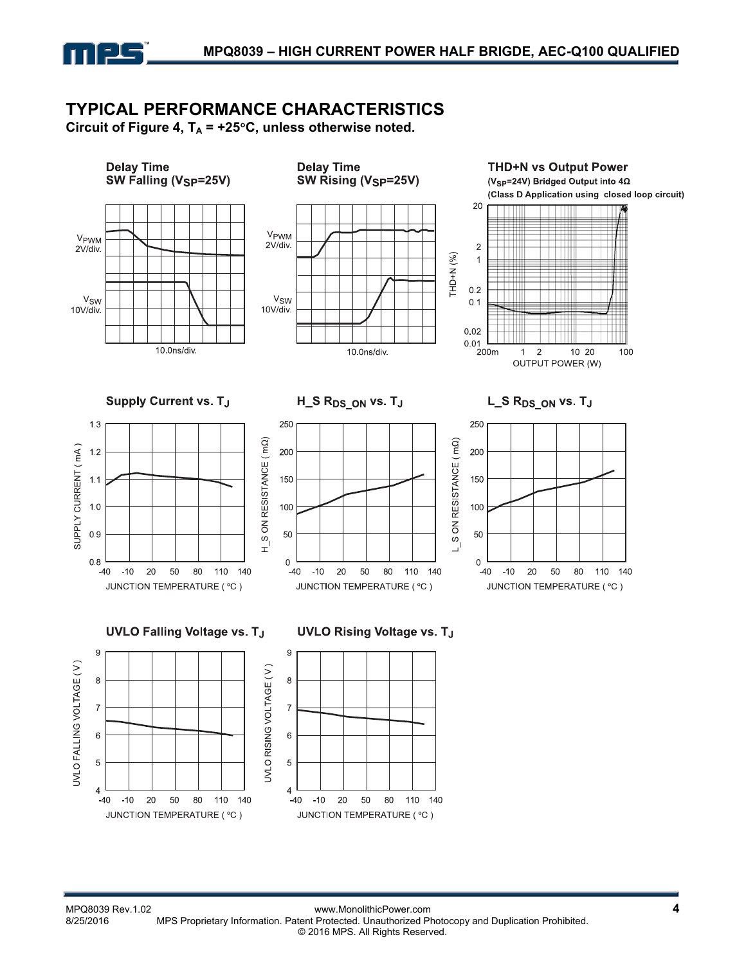

# **TYPICAL PERFORMANCE CHARACTERISTICS**

Circuit of Figure 4,  $T_A$  = +25 $\degree$ C, unless otherwise noted.

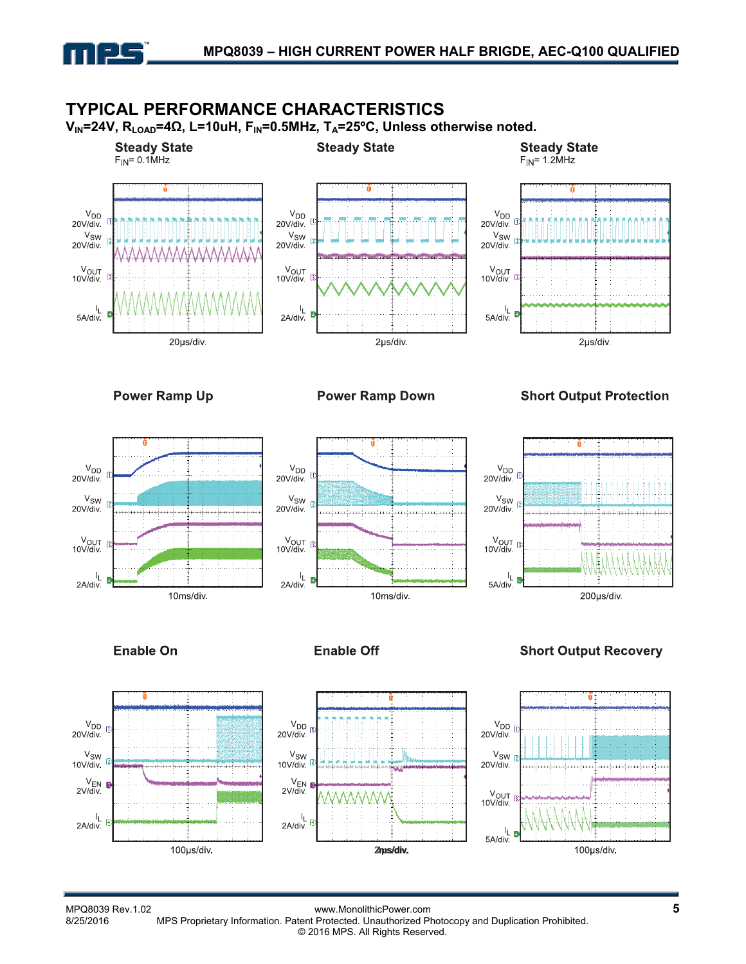

 $\frac{I_L}{2A\Delta}$ 



LL<br>2A/div

100µs/div.

MMMM

2ms/div.

V<sub>OUT</sub><br>10V/div.

Ł 5A/div

100µs/div.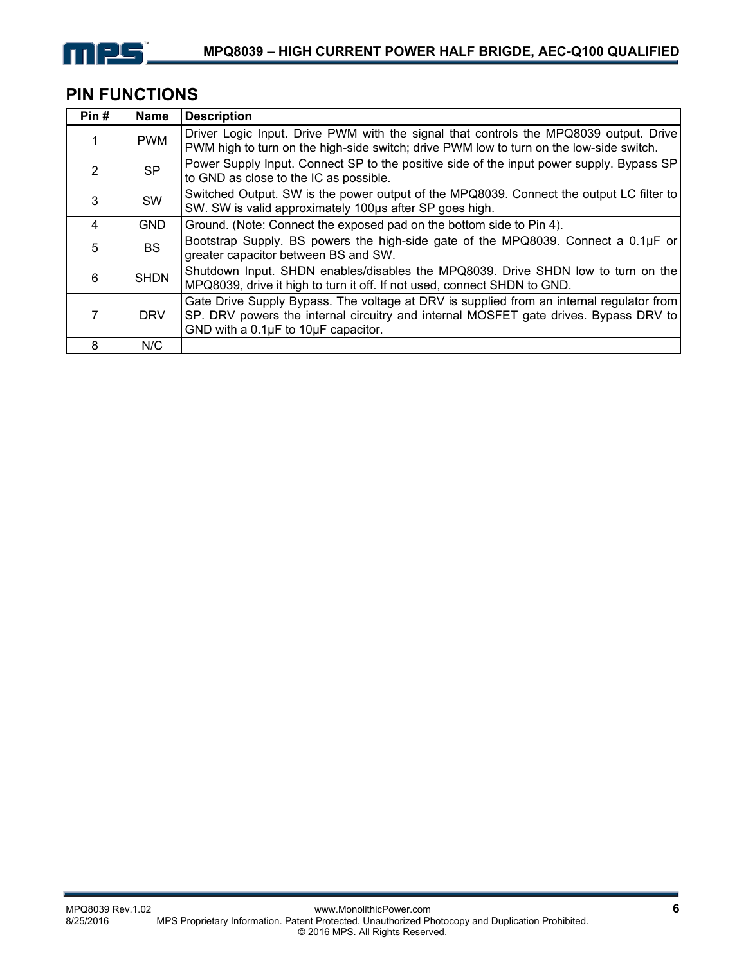

# **PIN FUNCTIONS**

| Pin#          | <b>Name</b> | <b>Description</b>                                                                                                                                                                                                                |
|---------------|-------------|-----------------------------------------------------------------------------------------------------------------------------------------------------------------------------------------------------------------------------------|
|               | <b>PWM</b>  | Driver Logic Input. Drive PWM with the signal that controls the MPQ8039 output. Drive<br>PWM high to turn on the high-side switch; drive PWM low to turn on the low-side switch.                                                  |
| $\mathcal{P}$ | <b>SP</b>   | Power Supply Input. Connect SP to the positive side of the input power supply. Bypass SP<br>to GND as close to the IC as possible.                                                                                                |
| 3             | <b>SW</b>   | Switched Output. SW is the power output of the MPQ8039. Connect the output LC filter to<br>SW. SW is valid approximately 100us after SP goes high.                                                                                |
| 4             | <b>GND</b>  | Ground. (Note: Connect the exposed pad on the bottom side to Pin 4).                                                                                                                                                              |
| 5             | <b>BS</b>   | Bootstrap Supply. BS powers the high-side gate of the MPQ8039. Connect a $0.1\mu$ F or<br>greater capacitor between BS and SW.                                                                                                    |
| 6             | <b>SHDN</b> | Shutdown Input. SHDN enables/disables the MPQ8039. Drive SHDN low to turn on the<br>MPQ8039, drive it high to turn it off. If not used, connect SHDN to GND.                                                                      |
|               | <b>DRV</b>  | Gate Drive Supply Bypass. The voltage at DRV is supplied from an internal regulator from<br>SP. DRV powers the internal circuitry and internal MOSFET gate drives. Bypass DRV to<br>GND with a $0.1\mu$ F to $10\mu$ F capacitor. |
| 8             | N/C         |                                                                                                                                                                                                                                   |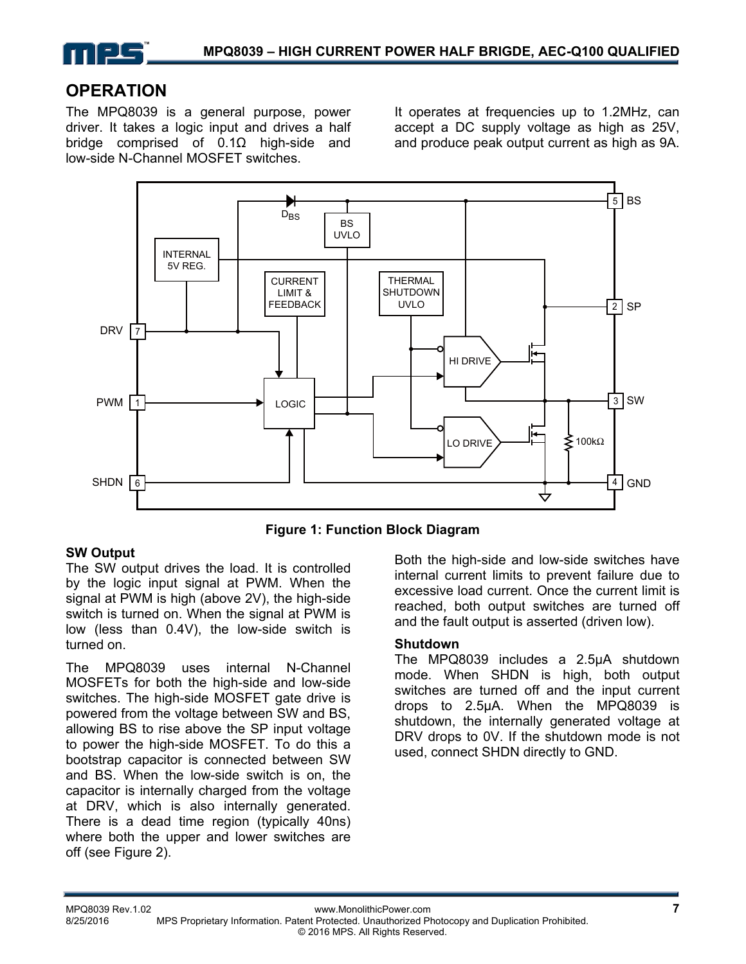

#### **OPERATION**

The MPQ8039 is a general purpose, power driver. It takes a logic input and drives a half bridge comprised of 0.1Ω high-side and low-side N-Channel MOSFET switches.

It operates at frequencies up to 1.2MHz, can accept a DC supply voltage as high as 25V, and produce peak output current as high as 9A.



**Figure 1: Function Block Diagram** 

#### **SW Output**

The SW output drives the load. It is controlled by the logic input signal at PWM. When the signal at PWM is high (above 2V), the high-side switch is turned on. When the signal at PWM is low (less than 0.4V), the low-side switch is turned on.

The MPQ8039 uses internal N-Channel MOSFETs for both the high-side and low-side switches. The high-side MOSFET gate drive is powered from the voltage between SW and BS, allowing BS to rise above the SP input voltage to power the high-side MOSFET. To do this a bootstrap capacitor is connected between SW and BS. When the low-side switch is on, the capacitor is internally charged from the voltage at DRV, which is also internally generated. There is a dead time region (typically 40ns) where both the upper and lower switches are off (see Figure 2).

Both the high-side and low-side switches have internal current limits to prevent failure due to excessive load current. Once the current limit is reached, both output switches are turned off and the fault output is asserted (driven low).

#### **Shutdown**

The MPQ8039 includes a 2.5μA shutdown mode. When SHDN is high, both output switches are turned off and the input current drops to 2.5μA. When the MPQ8039 is shutdown, the internally generated voltage at DRV drops to 0V. If the shutdown mode is not used, connect SHDN directly to GND.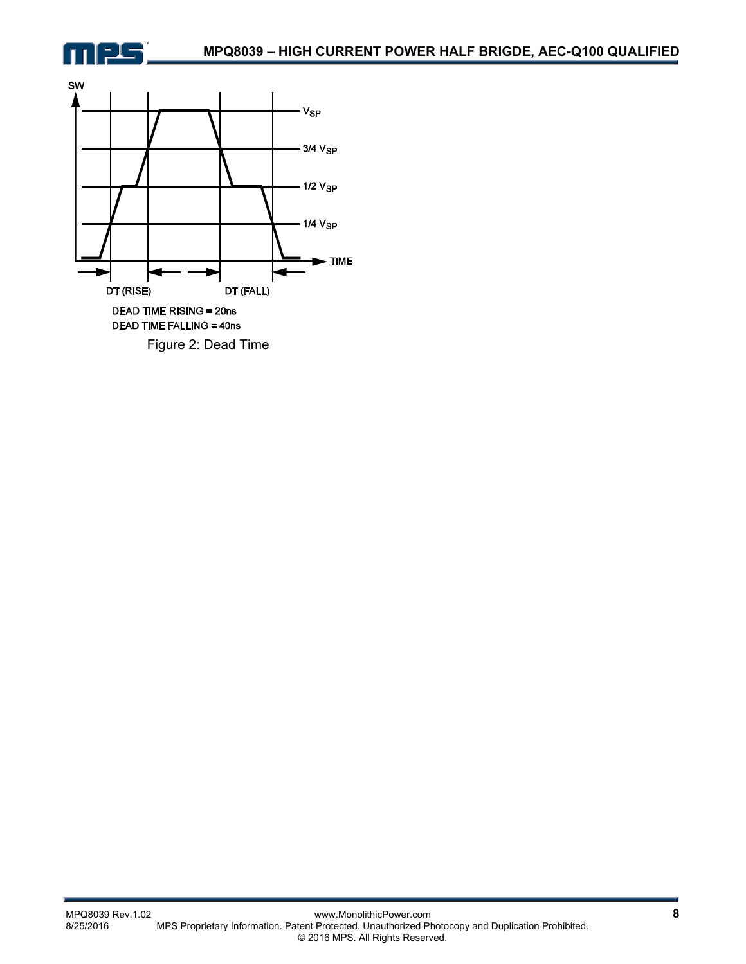

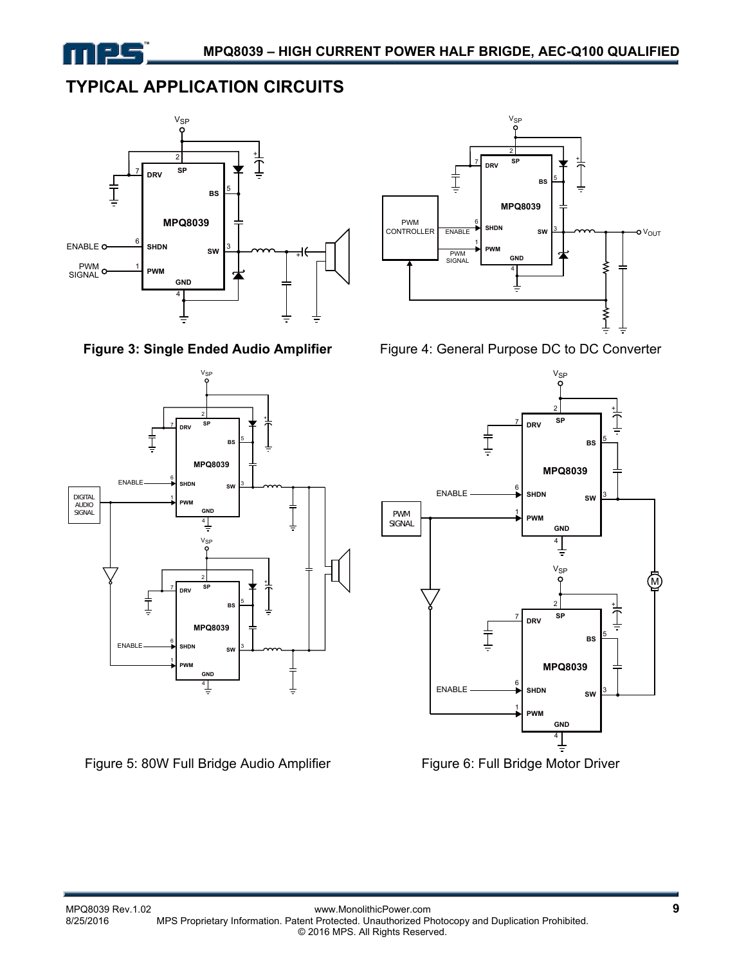

# **TYPICAL APPLICATION CIRCUITS**





Figure 5: 80W Full Bridge Audio Amplifier Figure 6: Full Bridge Motor Driver





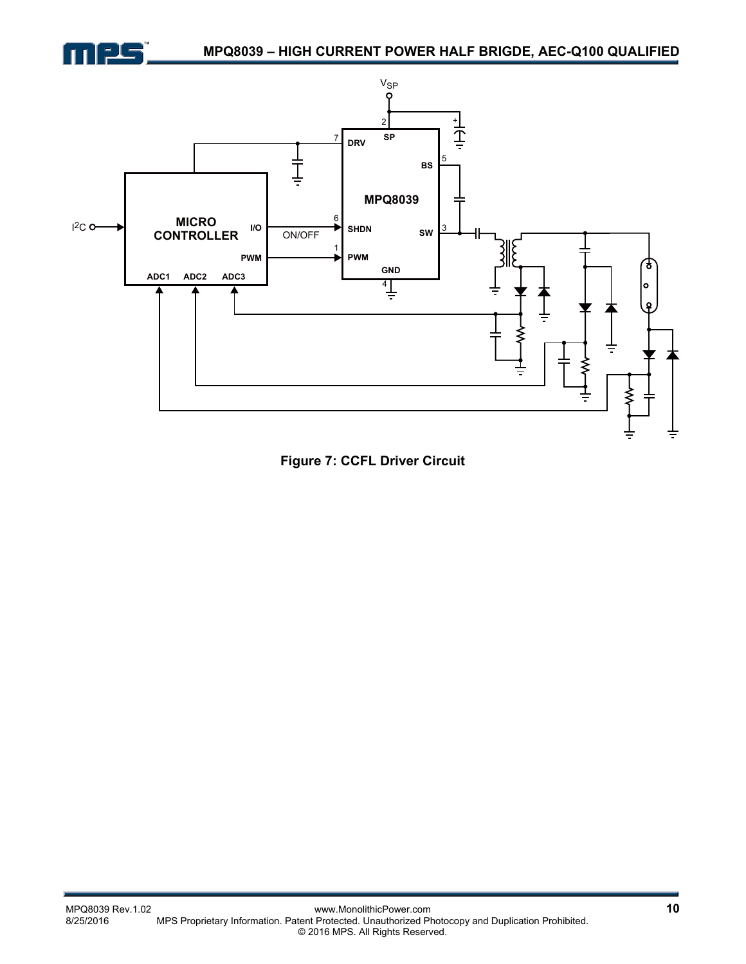



**Figure 7: CCFL Driver Circuit**